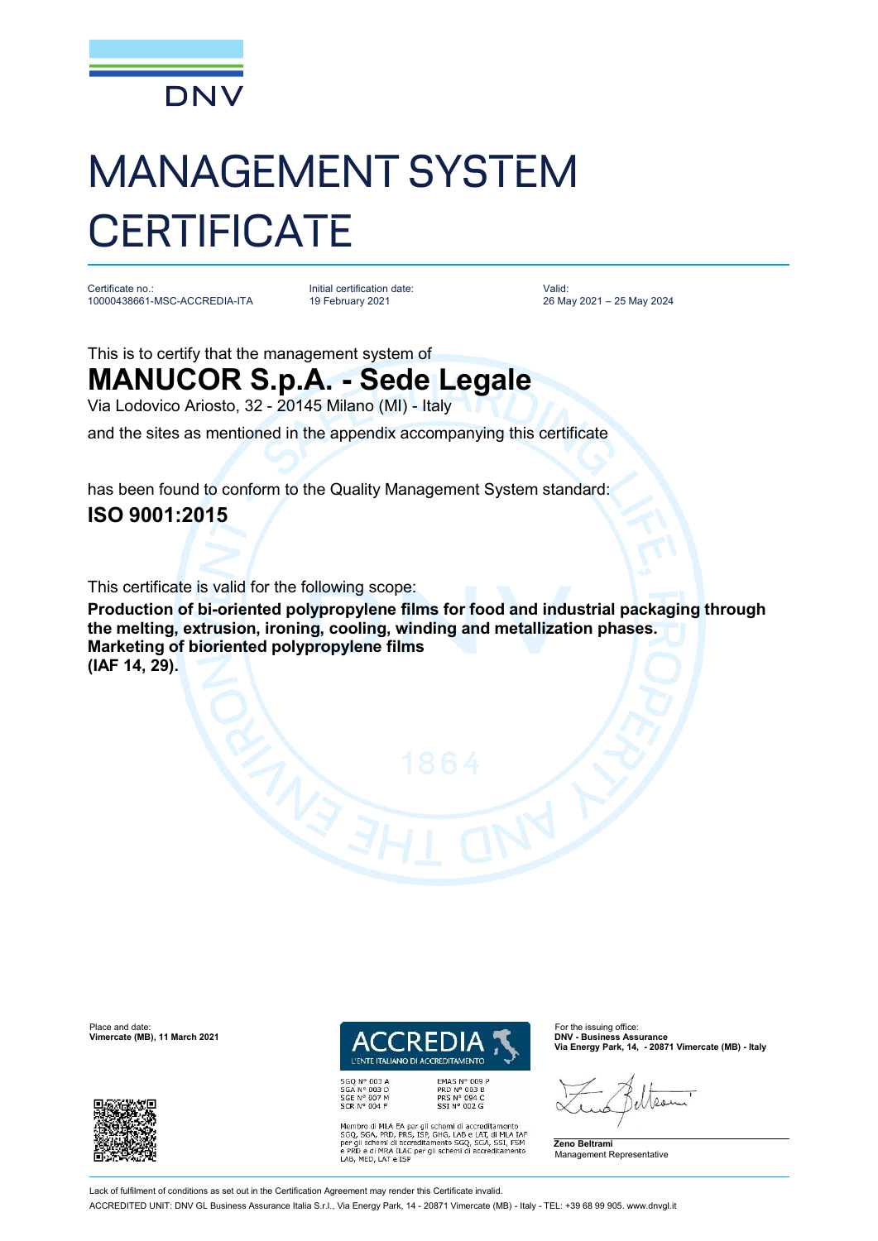

# MANAGEMENT SYSTEM **CERTIFICATE**

Certificate no.: 10000438661-MSC-ACCREDIA-ITA

Initial certification date: 19 February 2021

Valid: 26 May 2021 – 25 May 2024

This is to certify that the management system of

## **MANUCOR S.p.A. - Sede Legale**

Via Lodovico Ariosto, 32 - 20145 Milano (MI) - Italy

and the sites as mentioned in the appendix accompanying this certificate

has been found to conform to the Quality Management System standard:

### **ISO 9001:2015**

This certificate is valid for the following scope:

**Production of bi-oriented polypropylene films for food and industrial packaging through the melting, extrusion, ironing, cooling, winding and metallization phases. Marketing of bioriented polypropylene films (IAF 14, 29).**

**Vimercate (MB), 11 March 2021** 





SGQ N° 003 A<br>SGA N° 003 D SGE N° 007 M<br>SCR N° 004 F EMAS Nº 009 P<br>PRD Nº 003 B<br>PRS Nº 094 C<br>SSI Nº 002 G

Membro di MLA EA per gli schemi di accreditamento<br>SGO, SGA, PRD, PRS, ISP, GHG, LAB e LAT, di MLA IAF<br>per gli schemi di accreditamento SGO, SGA, SSI, FSM<br>e PRD e di MRA ILAC per gli schemi di accreditamento<br>LAB, MED, LAT e

**Via Energy Park, 14, - 20871 Vimercate (MB) - Italy**

Aso

**Zeno Beltrami** Management Representative

Lack of fulfilment of conditions as set out in the Certification Agreement may render this Certificate invalid ACCREDITED UNIT: DNV GL Business Assurance Italia S.r.l., Via Energy Park, 14 - 20871 Vimercate (MB) - Italy - TEL: +39 68 99 905. [www.dnvgl.it](http://www.dnvgl.it)